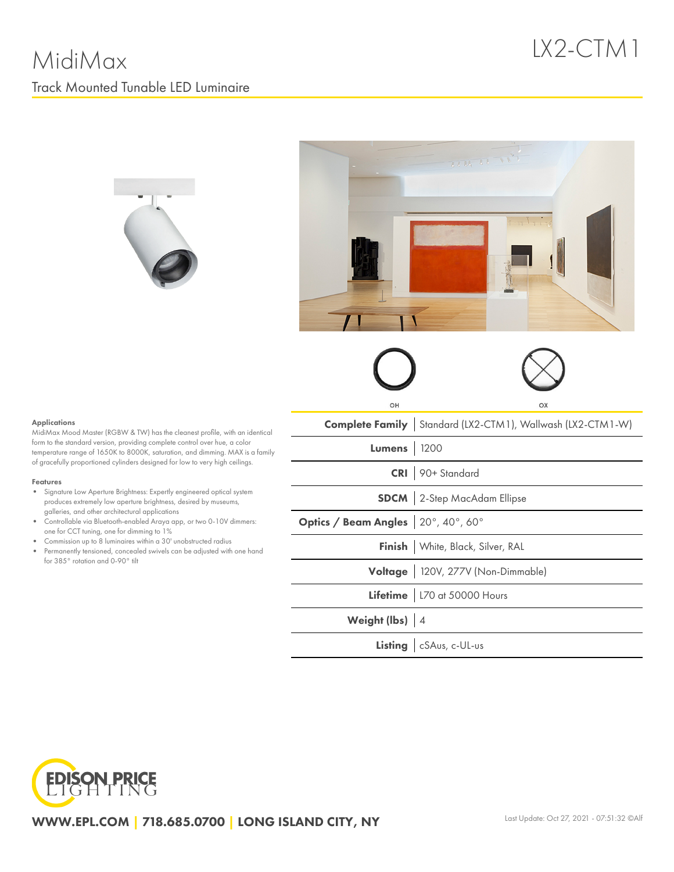







## Applications

MidiMax Mood Master (RGBW & TW) has the cleanest profile, with an identical form to the standard version, providing complete control over hue, a color temperature range of 1650K to 8000K, saturation, and dimming. MAX is a family of gracefully proportioned cylinders designed for low to very high ceilings.

#### Features

- Signature Low Aperture Brightness: Expertly engineered optical system produces extremely low aperture brightness, desired by museums, galleries, and other architectural applications
- Controllable via Bluetooth-enabled Araya app, or two 0-10V dimmers: one for CCT tuning, one for dimming to 1%
- Commission up to 8 luminaires within a 30' unobstructed radius  $\bullet$
- Permanently tensioned, concealed swivels can be adjusted with one hand for 385° rotation and 0-90° tilt

|                                    | OΧ                                                                  |
|------------------------------------|---------------------------------------------------------------------|
|                                    | <b>Complete Family</b>   Standard (LX2-CTM1), Wallwash (LX2-CTM1-W) |
| <b>Lumens</b> 1200                 |                                                                     |
|                                    | CRI 90+ Standard                                                    |
|                                    | <b>SDCM</b> 2-Step MacAdam Ellipse                                  |
| Optics / Beam Angles 20°, 40°, 60° |                                                                     |
|                                    | Finish   White, Black, Silver, RAL                                  |
|                                    | Voltage   120V, 277V (Non-Dimmable)                                 |
|                                    | Lifetime   L70 at 50000 Hours                                       |
| Weight (lbs) 4                     |                                                                     |
|                                    | Listing   cSAus, c-UL-us                                            |
|                                    |                                                                     |



WWW.EPL.COM | 718.685.0700 | LONG ISLAND CITY, NY Lost Update: Oct 27, 2021 - 07:51:32 ©Alf